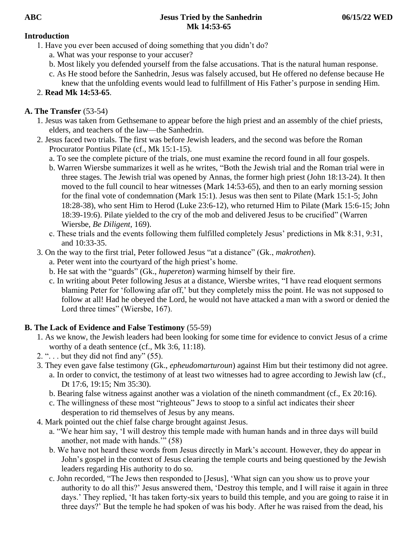### **Introduction**

- 1. Have you ever been accused of doing something that you didn't do?
	- a. What was your response to your accuser?
	- b. Most likely you defended yourself from the false accusations. That is the natural human response.
	- c. As He stood before the Sanhedrin, Jesus was falsely accused, but He offered no defense because He knew that the unfolding events would lead to fulfillment of His Father's purpose in sending Him.

# 2. **Read Mk 14:53-65**.

# **A. The Transfer** (53-54)

- 1. Jesus was taken from Gethsemane to appear before the high priest and an assembly of the chief priests, elders, and teachers of the law—the Sanhedrin.
- 2. Jesus faced two trials. The first was before Jewish leaders, and the second was before the Roman Procurator Pontius Pilate (cf., Mk 15:1-15).
	- a. To see the complete picture of the trials, one must examine the record found in all four gospels.
	- b. Warren Wiersbe summarizes it well as he writes, "Both the Jewish trial and the Roman trial were in three stages. The Jewish trial was opened by Annas, the former high priest (John 18:13-24). It then moved to the full council to hear witnesses (Mark 14:53-65), and then to an early morning session for the final vote of condemnation (Mark 15:1). Jesus was then sent to Pilate (Mark 15:1-5; John 18:28-38), who sent Him to Herod (Luke 23:6-12), who returned Him to Pilate (Mark 15:6-15; John 18:39-19:6). Pilate yielded to the cry of the mob and delivered Jesus to be crucified" (Warren Wiersbe, *Be Diligent*, 169).
	- c. These trials and the events following them fulfilled completely Jesus' predictions in Mk 8:31, 9:31, and 10:33-35.
- 3. On the way to the first trial, Peter followed Jesus "at a distance" (Gk., *makrothen*).
	- a. Peter went into the courtyard of the high priest's home.
	- b. He sat with the "guards" (Gk., *hupereton*) warming himself by their fire.
	- c. In writing about Peter following Jesus at a distance, Wiersbe writes, "I have read eloquent sermons blaming Peter for 'following afar off,' but they completely miss the point. He was not supposed to follow at all! Had he obeyed the Lord, he would not have attacked a man with a sword or denied the Lord three times" (Wiersbe, 167).

## **B. The Lack of Evidence and False Testimony** (55-59)

- 1. As we know, the Jewish leaders had been looking for some time for evidence to convict Jesus of a crime worthy of a death sentence (cf., Mk 3:6, 11:18).
- 2. " $\ldots$  but they did not find any" (55).
- 3. They even gave false testimony (Gk., *epheudomarturoun*) against Him but their testimony did not agree.
	- a. In order to convict, the testimony of at least two witnesses had to agree according to Jewish law (cf., Dt 17:6, 19:15; Nm 35:30).
	- b. Bearing false witness against another was a violation of the nineth commandment (cf., Ex 20:16).
	- c. The willingness of these most "righteous" Jews to stoop to a sinful act indicates their sheer desperation to rid themselves of Jesus by any means.
- 4. Mark pointed out the chief false charge brought against Jesus.
	- a. "We hear him say, 'I will destroy this temple made with human hands and in three days will build another, not made with hands.'" (58)
	- b. We have not heard these words from Jesus directly in Mark's account. However, they do appear in John's gospel in the context of Jesus clearing the temple courts and being questioned by the Jewish leaders regarding His authority to do so.
	- c. John recorded, "The Jews then responded to [Jesus], 'What sign can you show us to prove your authority to do all this?' Jesus answered them, 'Destroy this temple, and I will raise it again in three days.' They replied, 'It has taken forty-six years to build this temple, and you are going to raise it in three days?' But the temple he had spoken of was his body. After he was raised from the dead, his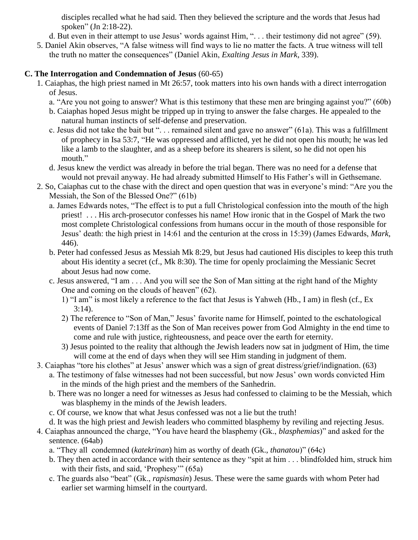disciples recalled what he had said. Then they believed the scripture and the words that Jesus had spoken" (Jn 2:18-22).

d. But even in their attempt to use Jesus' words against Him, ". . . their testimony did not agree" (59).

5. Daniel Akin observes, "A false witness will find ways to lie no matter the facts. A true witness will tell the truth no matter the consequences" (Daniel Akin, *Exalting Jesus in Mark*, 339).

### **C. The Interrogation and Condemnation of Jesus** (60-65)

- 1. Caiaphas, the high priest named in Mt 26:57, took matters into his own hands with a direct interrogation of Jesus.
	- a. "Are you not going to answer? What is this testimony that these men are bringing against you?" (60b)
	- b. Caiaphas hoped Jesus might be tripped up in trying to answer the false charges. He appealed to the natural human instincts of self-defense and preservation.
	- c. Jesus did not take the bait but ". . . remained silent and gave no answer" (61a). This was a fulfillment of prophecy in Isa 53:7, "He was oppressed and afflicted, yet he did not open his mouth; he was led like a lamb to the slaughter, and as a sheep before its shearers is silent, so he did not open his mouth."
	- d. Jesus knew the verdict was already in before the trial began. There was no need for a defense that would not prevail anyway. He had already submitted Himself to His Father's will in Gethsemane.
- 2. So, Caiaphas cut to the chase with the direct and open question that was in everyone's mind: "Are you the Messiah, the Son of the Blessed One?" (61b)
	- a. James Edwards notes, "The effect is to put a full Christological confession into the mouth of the high priest! . . . His arch-prosecutor confesses his name! How ironic that in the Gospel of Mark the two most complete Christological confessions from humans occur in the mouth of those responsible for Jesus' death: the high priest in 14:61 and the centurion at the cross in 15:39) (James Edwards, *Mark*, 446).
	- b. Peter had confessed Jesus as Messiah Mk 8:29, but Jesus had cautioned His disciples to keep this truth about His identity a secret (cf., Mk 8:30). The time for openly proclaiming the Messianic Secret about Jesus had now come.
	- c. Jesus answered, "I am . . . And you will see the Son of Man sitting at the right hand of the Mighty One and coming on the clouds of heaven" (62).
		- 1) "I am" is most likely a reference to the fact that Jesus is Yahweh (Hb., I am) in flesh (cf., Ex  $3:14$ ).
		- 2) The reference to "Son of Man," Jesus' favorite name for Himself, pointed to the eschatological events of Daniel 7:13ff as the Son of Man receives power from God Almighty in the end time to come and rule with justice, righteousness, and peace over the earth for eternity.
		- 3) Jesus pointed to the reality that although the Jewish leaders now sat in judgment of Him, the time will come at the end of days when they will see Him standing in judgment of them.
- 3. Caiaphas "tore his clothes" at Jesus' answer which was a sign of great distress/grief/indignation. (63)
	- a. The testimony of false witnesses had not been successful, but now Jesus' own words convicted Him in the minds of the high priest and the members of the Sanhedrin.
	- b. There was no longer a need for witnesses as Jesus had confessed to claiming to be the Messiah, which was blasphemy in the minds of the Jewish leaders.
	- c. Of course, we know that what Jesus confessed was not a lie but the truth!
	- d. It was the high priest and Jewish leaders who committed blasphemy by reviling and rejecting Jesus.
- 4. Caiaphas announced the charge, "You have heard the blasphemy (Gk., *blasphemias*)" and asked for the sentence. (64ab)
	- a. "They all condemned (*katekrinan*) him as worthy of death (Gk., *thanatou*)" (64c)
	- b. They then acted in accordance with their sentence as they "spit at him . . . blindfolded him, struck him with their fists, and said, 'Prophesy'" (65a)
	- c. The guards also "beat" (Gk., *rapismasin*) Jesus. These were the same guards with whom Peter had earlier set warming himself in the courtyard.